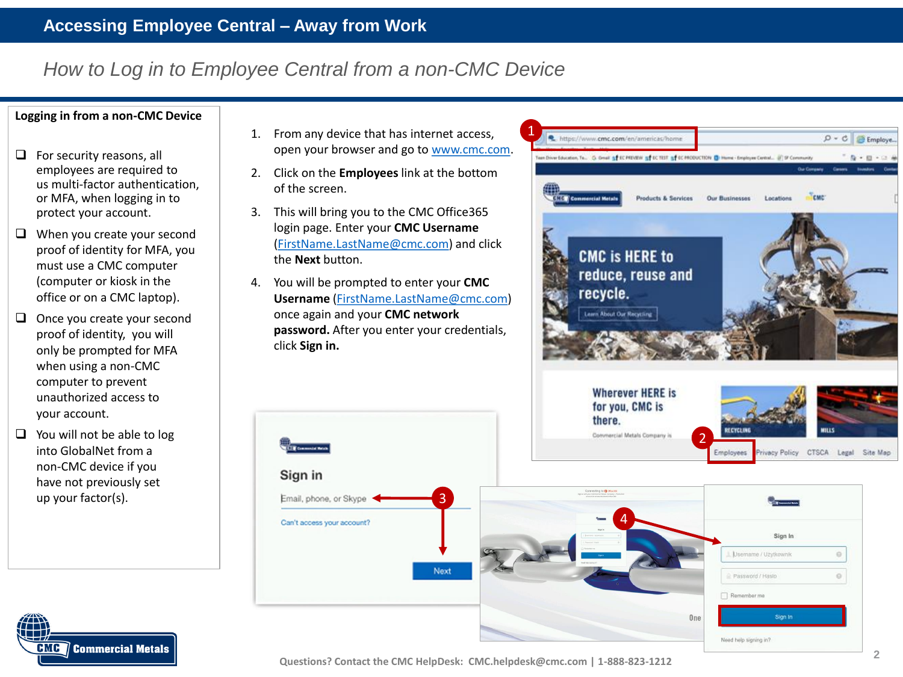## *How to Log in to Employee Central from a non-CMC Device*

Sign in

Email, phone, or Skype

Can't access your account?

## **Logging in from a non-CMC Device**

- $\Box$  For security reasons, all employees are required to us multi-factor authentication, or MFA, when logging in to protect your account.
- $\Box$  When you create your second proof of identity for MFA, you must use a CMC computer (computer or kiosk in the office or on a CMC laptop).
- $\Box$  Once you create your second proof of identity, you will only be prompted for MFA when using a non-CMC computer to prevent unauthorized access to your account.
- $\Box$  You will not be able to log into GlobalNet from a non-CMC device if you have not previously set up your factor(s).
- 1. From any device that has internet access, open your browser and go to [www.cmc.com.](http://www.cmc.com/)
- 2. Click on the **Employees** link at the bottom of the screen.
- 3. This will bring you to the CMC Office365 login page. Enter your **CMC Username** [\(FirstName.LastName@cmc.com](mailto:FirstName.LastName@cmc.com)) and click the **Next** button.
- 4. You will be prompted to enter your **CMC Username** [\(FirstName.LastName@cmc.com\)](mailto:FirstName.LastName@cmc.com) once again and your **CMC network password.** After you enter your credentials, click **Sign in.**





**Questions? Contact the CMC HelpDesk: CMC.helpdesk@cmc.com | 1-888-823-1212** 

Need help signing in?